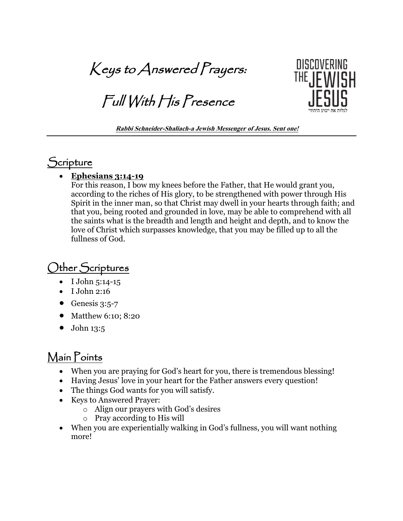Keys to Answered Prayers:

Full With His Presence



**Rabbi Schneider-Shaliach-a Jewish Messenger of Jesus. Sent one!**

### **Scripture**

#### • **Ephesians 3:14-19**

For this reason, I bow my knees before the Father, that He would grant you, according to the riches of His glory, to be strengthened with power through His Spirit in the inner man, so that Christ may dwell in your hearts through faith; and that you, being rooted and grounded in love, may be able to comprehend with all the saints what is the breadth and length and height and depth, and to know the love of Christ which surpasses knowledge, that you may be filled up to all the fullness of God.

# Other Scriptures

- I John 5:14-15
- I John 2:16
- Genesis  $3:5-7$
- Matthew 6:10; 8:20
- $\bullet$  John 13:5

## Main Points

- When you are praying for God's heart for you, there is tremendous blessing!
- Having Jesus' love in your heart for the Father answers every question!
- The things God wants for you will satisfy.
- Keys to Answered Prayer:
	- o Align our prayers with God's desires
	- o Pray according to His will
- When you are experientially walking in God's fullness, you will want nothing more!